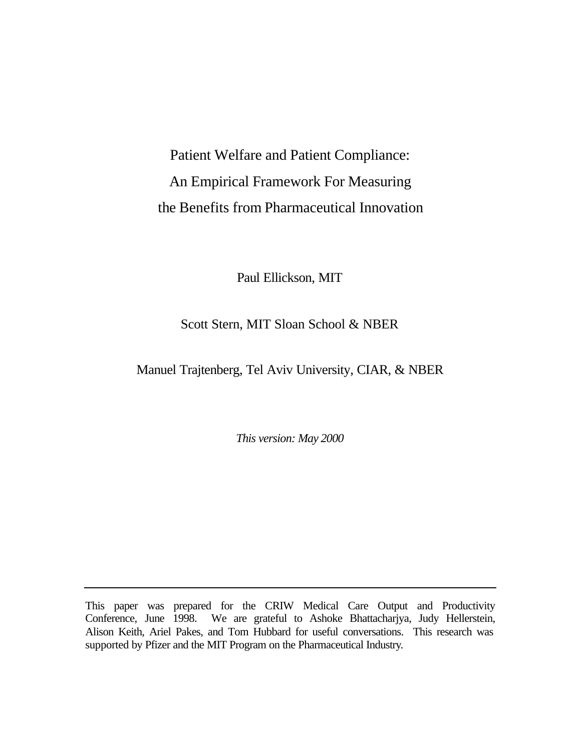Patient Welfare and Patient Compliance: An Empirical Framework For Measuring the Benefits from Pharmaceutical Innovation

Paul Ellickson, MIT

Scott Stern, MIT Sloan School & NBER

Manuel Trajtenberg, Tel Aviv University, CIAR, & NBER

*This version: May 2000*

This paper was prepared for the CRIW Medical Care Output and Productivity Conference, June 1998. We are grateful to Ashoke Bhattacharjya, Judy Hellerstein, Alison Keith, Ariel Pakes, and Tom Hubbard for useful conversations. This research was supported by Pfizer and the MIT Program on the Pharmaceutical Industry.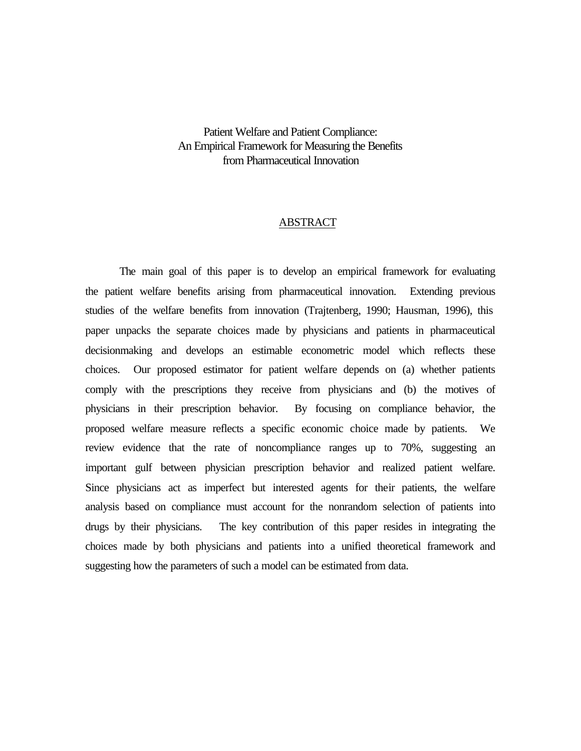# Patient Welfare and Patient Compliance: An Empirical Framework for Measuring the Benefits from Pharmaceutical Innovation

#### ABSTRACT

The main goal of this paper is to develop an empirical framework for evaluating the patient welfare benefits arising from pharmaceutical innovation. Extending previous studies of the welfare benefits from innovation (Trajtenberg, 1990; Hausman, 1996), this paper unpacks the separate choices made by physicians and patients in pharmaceutical decisionmaking and develops an estimable econometric model which reflects these choices. Our proposed estimator for patient welfare depends on (a) whether patients comply with the prescriptions they receive from physicians and (b) the motives of physicians in their prescription behavior. By focusing on compliance behavior, the proposed welfare measure reflects a specific economic choice made by patients. We review evidence that the rate of noncompliance ranges up to 70%, suggesting an important gulf between physician prescription behavior and realized patient welfare. Since physicians act as imperfect but interested agents for their patients, the welfare analysis based on compliance must account for the nonrandom selection of patients into drugs by their physicians. The key contribution of this paper resides in integrating the choices made by both physicians and patients into a unified theoretical framework and suggesting how the parameters of such a model can be estimated from data.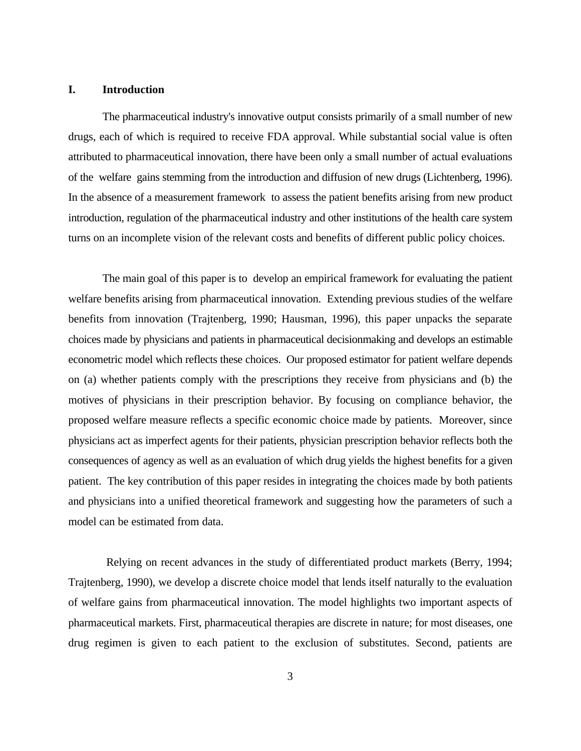### **I. Introduction**

The pharmaceutical industry's innovative output consists primarily of a small number of new drugs, each of which is required to receive FDA approval. While substantial social value is often attributed to pharmaceutical innovation, there have been only a small number of actual evaluations of the welfare gains stemming from the introduction and diffusion of new drugs (Lichtenberg, 1996). In the absence of a measurement framework to assess the patient benefits arising from new product introduction, regulation of the pharmaceutical industry and other institutions of the health care system turns on an incomplete vision of the relevant costs and benefits of different public policy choices.

The main goal of this paper is to develop an empirical framework for evaluating the patient welfare benefits arising from pharmaceutical innovation. Extending previous studies of the welfare benefits from innovation (Trajtenberg, 1990; Hausman, 1996), this paper unpacks the separate choices made by physicians and patients in pharmaceutical decisionmaking and develops an estimable econometric model which reflects these choices. Our proposed estimator for patient welfare depends on (a) whether patients comply with the prescriptions they receive from physicians and (b) the motives of physicians in their prescription behavior. By focusing on compliance behavior, the proposed welfare measure reflects a specific economic choice made by patients. Moreover, since physicians act as imperfect agents for their patients, physician prescription behavior reflects both the consequences of agency as well as an evaluation of which drug yields the highest benefits for a given patient. The key contribution of this paper resides in integrating the choices made by both patients and physicians into a unified theoretical framework and suggesting how the parameters of such a model can be estimated from data.

 Relying on recent advances in the study of differentiated product markets (Berry, 1994; Trajtenberg, 1990), we develop a discrete choice model that lends itself naturally to the evaluation of welfare gains from pharmaceutical innovation. The model highlights two important aspects of pharmaceutical markets. First, pharmaceutical therapies are discrete in nature; for most diseases, one drug regimen is given to each patient to the exclusion of substitutes. Second, patients are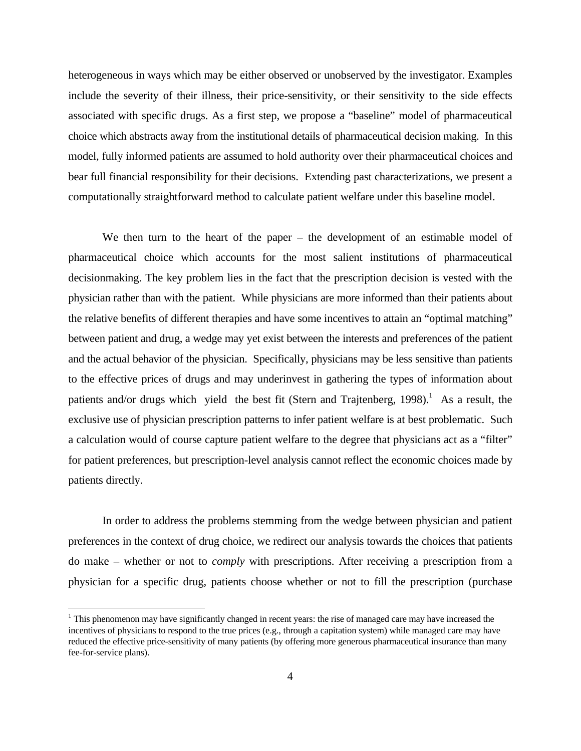heterogeneous in ways which may be either observed or unobserved by the investigator. Examples include the severity of their illness, their price-sensitivity, or their sensitivity to the side effects associated with specific drugs. As a first step, we propose a "baseline" model of pharmaceutical choice which abstracts away from the institutional details of pharmaceutical decision making. In this model, fully informed patients are assumed to hold authority over their pharmaceutical choices and bear full financial responsibility for their decisions. Extending past characterizations, we present a computationally straightforward method to calculate patient welfare under this baseline model.

We then turn to the heart of the paper – the development of an estimable model of pharmaceutical choice which accounts for the most salient institutions of pharmaceutical decisionmaking. The key problem lies in the fact that the prescription decision is vested with the physician rather than with the patient. While physicians are more informed than their patients about the relative benefits of different therapies and have some incentives to attain an "optimal matching" between patient and drug, a wedge may yet exist between the interests and preferences of the patient and the actual behavior of the physician. Specifically, physicians may be less sensitive than patients to the effective prices of drugs and may underinvest in gathering the types of information about patients and/or drugs which yield the best fit (Stern and Trajtenberg, 1998).<sup>1</sup> As a result, the exclusive use of physician prescription patterns to infer patient welfare is at best problematic. Such a calculation would of course capture patient welfare to the degree that physicians act as a "filter" for patient preferences, but prescription-level analysis cannot reflect the economic choices made by patients directly.

In order to address the problems stemming from the wedge between physician and patient preferences in the context of drug choice, we redirect our analysis towards the choices that patients do make – whether or not to *comply* with prescriptions. After receiving a prescription from a physician for a specific drug, patients choose whether or not to fill the prescription (purchase

-

 $1$  This phenomenon may have significantly changed in recent years: the rise of managed care may have increased the incentives of physicians to respond to the true prices (e.g., through a capitation system) while managed care may have reduced the effective price-sensitivity of many patients (by offering more generous pharmaceutical insurance than many fee-for-service plans).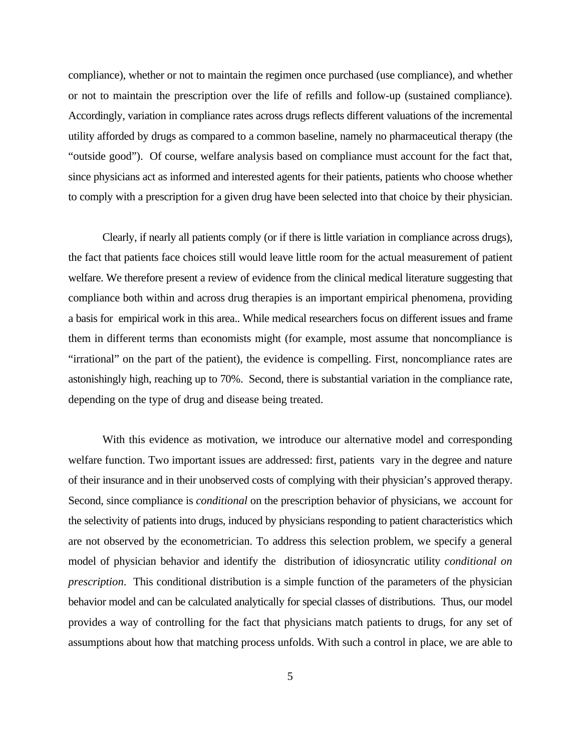compliance), whether or not to maintain the regimen once purchased (use compliance), and whether or not to maintain the prescription over the life of refills and follow-up (sustained compliance). Accordingly, variation in compliance rates across drugs reflects different valuations of the incremental utility afforded by drugs as compared to a common baseline, namely no pharmaceutical therapy (the "outside good"). Of course, welfare analysis based on compliance must account for the fact that, since physicians act as informed and interested agents for their patients, patients who choose whether to comply with a prescription for a given drug have been selected into that choice by their physician.

Clearly, if nearly all patients comply (or if there is little variation in compliance across drugs), the fact that patients face choices still would leave little room for the actual measurement of patient welfare. We therefore present a review of evidence from the clinical medical literature suggesting that compliance both within and across drug therapies is an important empirical phenomena, providing a basis for empirical work in this area.. While medical researchers focus on different issues and frame them in different terms than economists might (for example, most assume that noncompliance is "irrational" on the part of the patient), the evidence is compelling. First, noncompliance rates are astonishingly high, reaching up to 70%. Second, there is substantial variation in the compliance rate, depending on the type of drug and disease being treated.

With this evidence as motivation, we introduce our alternative model and corresponding welfare function. Two important issues are addressed: first, patients vary in the degree and nature of their insurance and in their unobserved costs of complying with their physician's approved therapy. Second, since compliance is *conditional* on the prescription behavior of physicians, we account for the selectivity of patients into drugs, induced by physicians responding to patient characteristics which are not observed by the econometrician. To address this selection problem, we specify a general model of physician behavior and identify the distribution of idiosyncratic utility *conditional on prescription*. This conditional distribution is a simple function of the parameters of the physician behavior model and can be calculated analytically for special classes of distributions. Thus, our model provides a way of controlling for the fact that physicians match patients to drugs, for any set of assumptions about how that matching process unfolds. With such a control in place, we are able to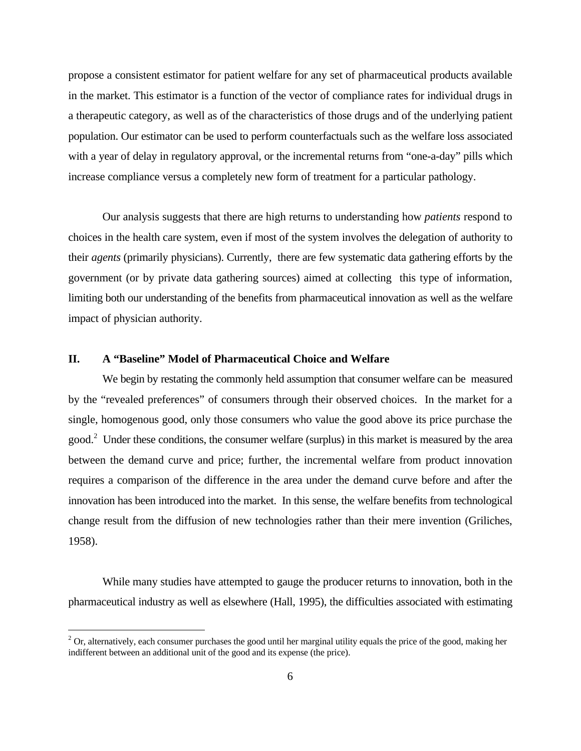propose a consistent estimator for patient welfare for any set of pharmaceutical products available in the market. This estimator is a function of the vector of compliance rates for individual drugs in a therapeutic category, as well as of the characteristics of those drugs and of the underlying patient population. Our estimator can be used to perform counterfactuals such as the welfare loss associated with a year of delay in regulatory approval, or the incremental returns from "one-a-day" pills which increase compliance versus a completely new form of treatment for a particular pathology.

Our analysis suggests that there are high returns to understanding how *patients* respond to choices in the health care system, even if most of the system involves the delegation of authority to their *agents* (primarily physicians). Currently, there are few systematic data gathering efforts by the government (or by private data gathering sources) aimed at collecting this type of information, limiting both our understanding of the benefits from pharmaceutical innovation as well as the welfare impact of physician authority.

#### **II. A "Baseline" Model of Pharmaceutical Choice and Welfare**

<u>.</u>

We begin by restating the commonly held assumption that consumer welfare can be measured by the "revealed preferences" of consumers through their observed choices. In the market for a single, homogenous good, only those consumers who value the good above its price purchase the good.<sup>2</sup> Under these conditions, the consumer welfare (surplus) in this market is measured by the area between the demand curve and price; further, the incremental welfare from product innovation requires a comparison of the difference in the area under the demand curve before and after the innovation has been introduced into the market. In this sense, the welfare benefits from technological change result from the diffusion of new technologies rather than their mere invention (Griliches, 1958).

While many studies have attempted to gauge the producer returns to innovation, both in the pharmaceutical industry as well as elsewhere (Hall, 1995), the difficulties associated with estimating

 $2$  Or, alternatively, each consumer purchases the good until her marginal utility equals the price of the good, making her indifferent between an additional unit of the good and its expense (the price).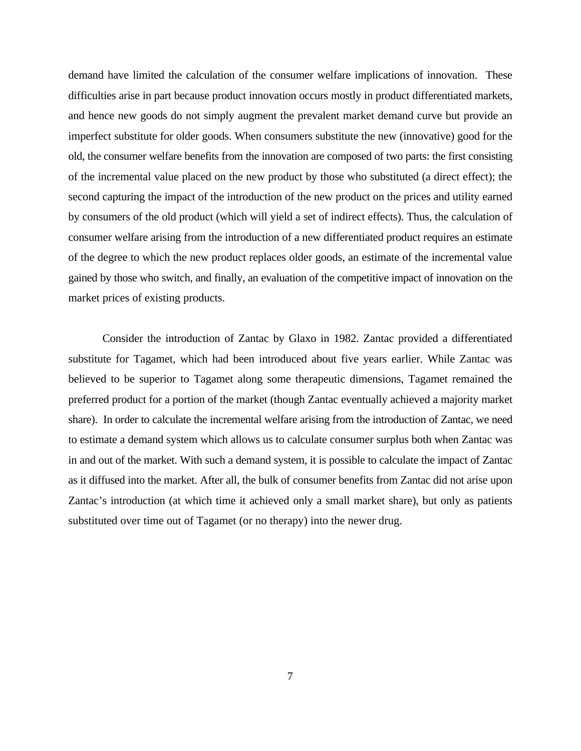demand have limited the calculation of the consumer welfare implications of innovation. These difficulties arise in part because product innovation occurs mostly in product differentiated markets, and hence new goods do not simply augment the prevalent market demand curve but provide an imperfect substitute for older goods. When consumers substitute the new (innovative) good for the old, the consumer welfare benefits from the innovation are composed of two parts: the first consisting of the incremental value placed on the new product by those who substituted (a direct effect); the second capturing the impact of the introduction of the new product on the prices and utility earned by consumers of the old product (which will yield a set of indirect effects). Thus, the calculation of consumer welfare arising from the introduction of a new differentiated product requires an estimate of the degree to which the new product replaces older goods, an estimate of the incremental value gained by those who switch, and finally, an evaluation of the competitive impact of innovation on the market prices of existing products.

Consider the introduction of Zantac by Glaxo in 1982. Zantac provided a differentiated substitute for Tagamet, which had been introduced about five years earlier. While Zantac was believed to be superior to Tagamet along some therapeutic dimensions, Tagamet remained the preferred product for a portion of the market (though Zantac eventually achieved a majority market share). In order to calculate the incremental welfare arising from the introduction of Zantac, we need to estimate a demand system which allows us to calculate consumer surplus both when Zantac was in and out of the market. With such a demand system, it is possible to calculate the impact of Zantac as it diffused into the market. After all, the bulk of consumer benefits from Zantac did not arise upon Zantac's introduction (at which time it achieved only a small market share), but only as patients substituted over time out of Tagamet (or no therapy) into the newer drug.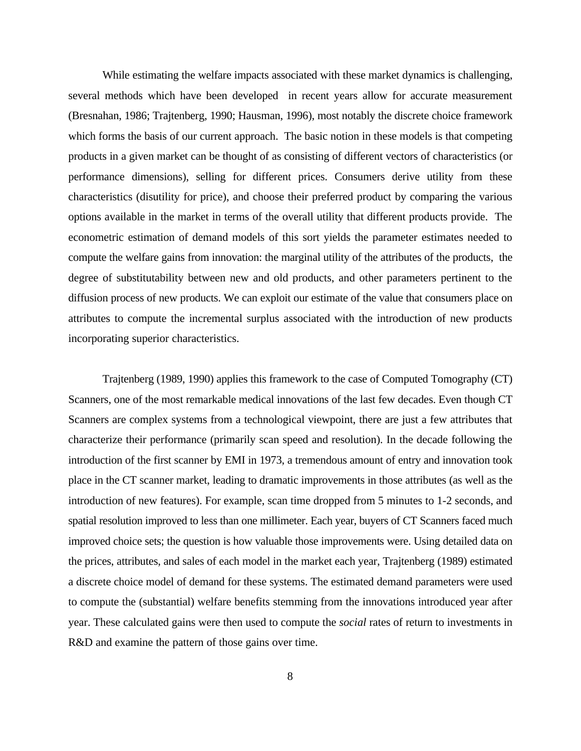While estimating the welfare impacts associated with these market dynamics is challenging, several methods which have been developed in recent years allow for accurate measurement (Bresnahan, 1986; Trajtenberg, 1990; Hausman, 1996), most notably the discrete choice framework which forms the basis of our current approach. The basic notion in these models is that competing products in a given market can be thought of as consisting of different vectors of characteristics (or performance dimensions), selling for different prices. Consumers derive utility from these characteristics (disutility for price), and choose their preferred product by comparing the various options available in the market in terms of the overall utility that different products provide. The econometric estimation of demand models of this sort yields the parameter estimates needed to compute the welfare gains from innovation: the marginal utility of the attributes of the products, the degree of substitutability between new and old products, and other parameters pertinent to the diffusion process of new products. We can exploit our estimate of the value that consumers place on attributes to compute the incremental surplus associated with the introduction of new products incorporating superior characteristics.

Trajtenberg (1989, 1990) applies this framework to the case of Computed Tomography (CT) Scanners, one of the most remarkable medical innovations of the last few decades. Even though CT Scanners are complex systems from a technological viewpoint, there are just a few attributes that characterize their performance (primarily scan speed and resolution). In the decade following the introduction of the first scanner by EMI in 1973, a tremendous amount of entry and innovation took place in the CT scanner market, leading to dramatic improvements in those attributes (as well as the introduction of new features). For example, scan time dropped from 5 minutes to 1-2 seconds, and spatial resolution improved to less than one millimeter. Each year, buyers of CT Scanners faced much improved choice sets; the question is how valuable those improvements were. Using detailed data on the prices, attributes, and sales of each model in the market each year, Trajtenberg (1989) estimated a discrete choice model of demand for these systems. The estimated demand parameters were used to compute the (substantial) welfare benefits stemming from the innovations introduced year after year. These calculated gains were then used to compute the *social* rates of return to investments in R&D and examine the pattern of those gains over time.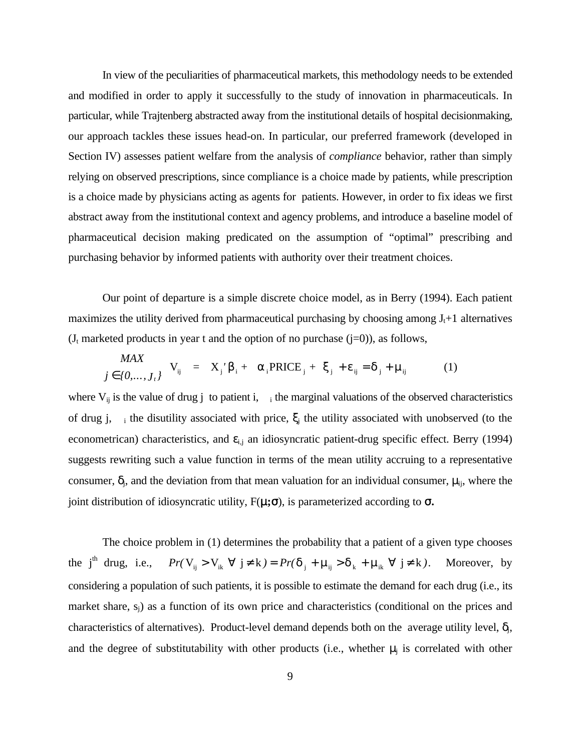In view of the peculiarities of pharmaceutical markets, this methodology needs to be extended and modified in order to apply it successfully to the study of innovation in pharmaceuticals. In particular, while Trajtenberg abstracted away from the institutional details of hospital decisionmaking, our approach tackles these issues head-on. In particular, our preferred framework (developed in Section IV) assesses patient welfare from the analysis of *compliance* behavior, rather than simply relying on observed prescriptions, since compliance is a choice made by patients, while prescription is a choice made by physicians acting as agents for patients. However, in order to fix ideas we first abstract away from the institutional context and agency problems, and introduce a baseline model of pharmaceutical decision making predicated on the assumption of "optimal" prescribing and purchasing behavior by informed patients with authority over their treatment choices.

Our point of departure is a simple discrete choice model, as in Berry (1994). Each patient maximizes the utility derived from pharmaceutical purchasing by choosing among  $J_t+1$  alternatives  $(J_t$  marketed products in year t and the option of no purchase  $(j=0)$ ), as follows,

$$
\begin{array}{rcl}\n\mathit{MAX} \\
j \in \{0, \ldots, J_t\} \quad \mathsf{V}_{ij} & = & \mathsf{X}_j \mathbf{b}_i + \mathbf{a}_i \mathsf{PRICE}_j + \mathbf{x}_j + \mathbf{e}_{ij} = \mathbf{d}_j + \mathbf{m}_{ij}\n\end{array} \tag{1}
$$

where  $V_{ij}$  is the value of drug j to patient i,  $i$  the marginal valuations of the observed characteristics of drug j, i the disutility associated with price,  $\xi$  the utility associated with unobserved (to the econometrican) characteristics, and  $\varepsilon_{i,j}$  an idiosyncratic patient-drug specific effect. Berry (1994) suggests rewriting such a value function in terms of the mean utility accruing to a representative consumer,  $\delta_i$ , and the deviation from that mean valuation for an individual consumer,  $\mu_{ii}$ , where the joint distribution of idiosyncratic utility, F(μ**;**σ), is parameterized according to σ**.**

The choice problem in (1) determines the probability that a patient of a given type chooses the j<sup>th</sup> drug, i.e.,  $Pr(V_{ij} > V_{ik} \ \forall \ j \neq k) = Pr(d_j + m_{ij} > d_k + m_{ik} \ \forall \ j \neq k)$ . Moreover, by considering a population of such patients, it is possible to estimate the demand for each drug (i.e., its market share, s<sub>i</sub>) as a function of its own price and characteristics (conditional on the prices and characteristics of alternatives). Product-level demand depends both on the average utility level,  $\delta_i$ , and the degree of substitutability with other products (i.e., whether  $\mu_i$  is correlated with other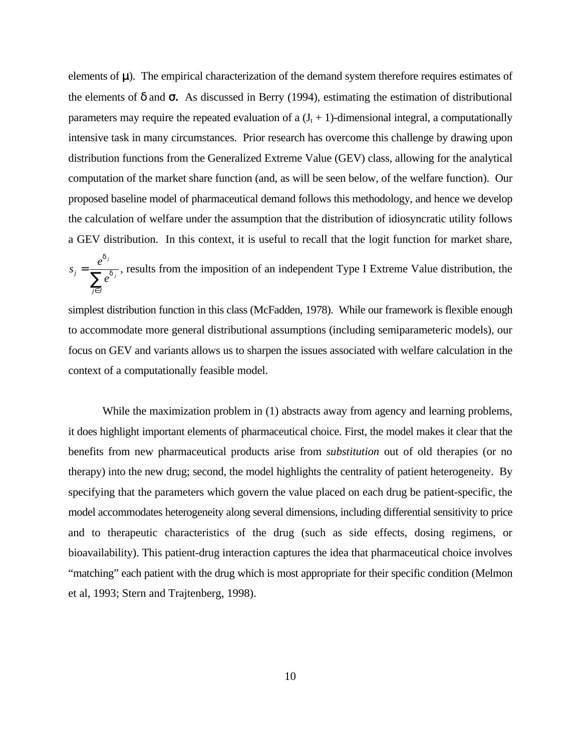elements of  $\mu$ ). The empirical characterization of the demand system therefore requires estimates of the elements of δ and σ**.** As discussed in Berry (1994), estimating the estimation of distributional parameters may require the repeated evaluation of a  $(J_t + 1)$ -dimensional integral, a computationally intensive task in many circumstances. Prior research has overcome this challenge by drawing upon distribution functions from the Generalized Extreme Value (GEV) class, allowing for the analytical computation of the market share function (and, as will be seen below, of the welfare function). Our proposed baseline model of pharmaceutical demand follows this methodology, and hence we develop the calculation of welfare under the assumption that the distribution of idiosyncratic utility follows a GEV distribution. In this context, it is useful to recall that the logit function for market share,

$$
s_j = \frac{e^{d_j}}{\sum_{j \in J} e^{d_j}}
$$
, results from the imposition of an independent Type I Extreme Value distribution, the

simplest distribution function in this class (McFadden, 1978). While our framework is flexible enough to accommodate more general distributional assumptions (including semiparameteric models), our focus on GEV and variants allows us to sharpen the issues associated with welfare calculation in the context of a computationally feasible model.

While the maximization problem in (1) abstracts away from agency and learning problems, it does highlight important elements of pharmaceutical choice. First, the model makes it clear that the benefits from new pharmaceutical products arise from *substitution* out of old therapies (or no therapy) into the new drug; second, the model highlights the centrality of patient heterogeneity. By specifying that the parameters which govern the value placed on each drug be patient-specific, the model accommodates heterogeneity along several dimensions, including differential sensitivity to price and to therapeutic characteristics of the drug (such as side effects, dosing regimens, or bioavailability). This patient-drug interaction captures the idea that pharmaceutical choice involves "matching" each patient with the drug which is most appropriate for their specific condition (Melmon et al, 1993; Stern and Trajtenberg, 1998).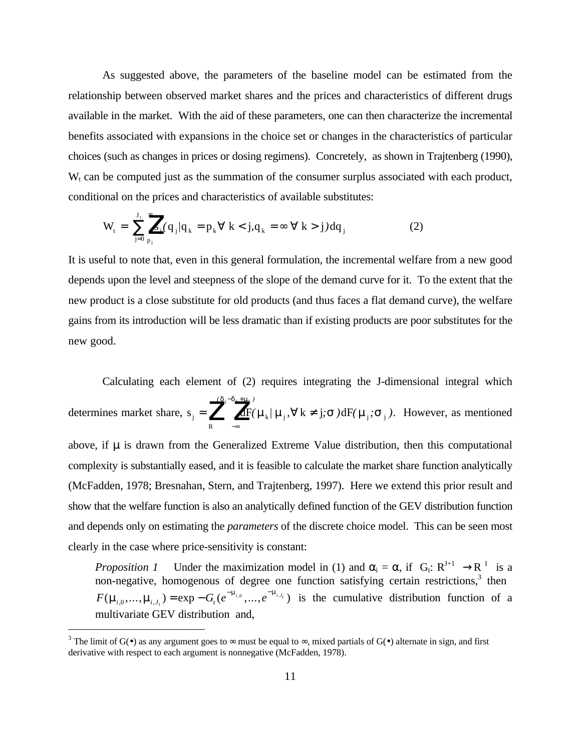As suggested above, the parameters of the baseline model can be estimated from the relationship between observed market shares and the prices and characteristics of different drugs available in the market. With the aid of these parameters, one can then characterize the incremental benefits associated with expansions in the choice set or changes in the characteristics of particular choices (such as changes in prices or dosing regimens). Concretely, as shown in Trajtenberg (1990),  $W_t$  can be computed just as the summation of the consumer surplus associated with each product, conditional on the prices and characteristics of available substitutes:

$$
W_{t} = \sum_{j=0}^{J_{t}} \int_{p_{j}}^{q} s_{j} (q_{j}/q_{k} = p_{k} \forall k < j, q_{k} = \infty \forall k > j) dq_{j}
$$
 (2)

It is useful to note that, even in this general formulation, the incremental welfare from a new good depends upon the level and steepness of the slope of the demand curve for it. To the extent that the new product is a close substitute for old products (and thus faces a flat demand curve), the welfare gains from its introduction will be less dramatic than if existing products are poor substitutes for the new good.

Calculating each element of (2) requires integrating the J-dimensional integral which determines market share,  $s_j = \begin{bmatrix} \end{bmatrix}$  dF( $m_k / m_j$ ,  $\forall k \neq j$ ;  $s$ ) dF( $m_j$ ;  $s_j$ R ј <sup>—</sup> и<sub>ј</sub> + и<sub>ј</sub>  $=$   $\int dF(m_k/m_i, \forall k \neq$ −∞  $\int_{R_1}^{R_1-d_1} \int_{R_2}^{R_3-d_2}$  $(\mathbf{m}_k / \mathbf{m}_i, \forall k \neq j; \mathbf{s}) \mathrm{d}F(\mathbf{m}_i; \mathbf{s}_i)$  $(d_{i} - d_{k} + m_{i})$  $m_k/m_i$ ,  $\forall k \neq j$ ;  $\mathbf{s}$   $\partial dF(m_i; \mathbf{s})$  $d_i - d_k + n$ . However, as mentioned

above, if  $\mu$  is drawn from the Generalized Extreme Value distribution, then this computational complexity is substantially eased, and it is feasible to calculate the market share function analytically (McFadden, 1978; Bresnahan, Stern, and Trajtenberg, 1997). Here we extend this prior result and show that the welfare function is also an analytically defined function of the GEV distribution function and depends only on estimating the *parameters* of the discrete choice model. This can be seen most clearly in the case where price-sensitivity is constant:

*Proposition 1* Under the maximization model in (1) and  $\alpha_i = \alpha$ , if  $G_t$ :  $R^{J+1} \rightarrow R^1$  is a non-negative, homogenous of degree one function satisfying certain restrictions,<sup>3</sup> then  $F(\mathbf{m}_{i,0},...,\mathbf{m}_{i,J_t}) = \exp{-G_t(e^{-\mathbf{m}_{i,0}}},...,e^{-\mathbf{m}_{i,j}t})$  $\binom{m}{i,0},\ldots,m$ <sub>*i,J<sub>r</sub>*</sub> $\binom{m}{i}$  = exp –  $G_i(e^{-m_{i,0}},\ldots,e^{-m_{i,J_i}})$  $(\mathbf{m}_{i,j}) = \exp(-G_i(e^{-m_{i,0}},...,e^{-m_{i,j_i}}))$  is the cumulative distribution function of a multivariate GEV distribution and,

 $\overline{a}$ 

<sup>&</sup>lt;sup>3</sup> The limit of G( $\bullet$ ) as any argument goes to  $\infty$  must be equal to  $\infty$ , mixed partials of G( $\bullet$ ) alternate in sign, and first derivative with respect to each argument is nonnegative (McFadden, 1978).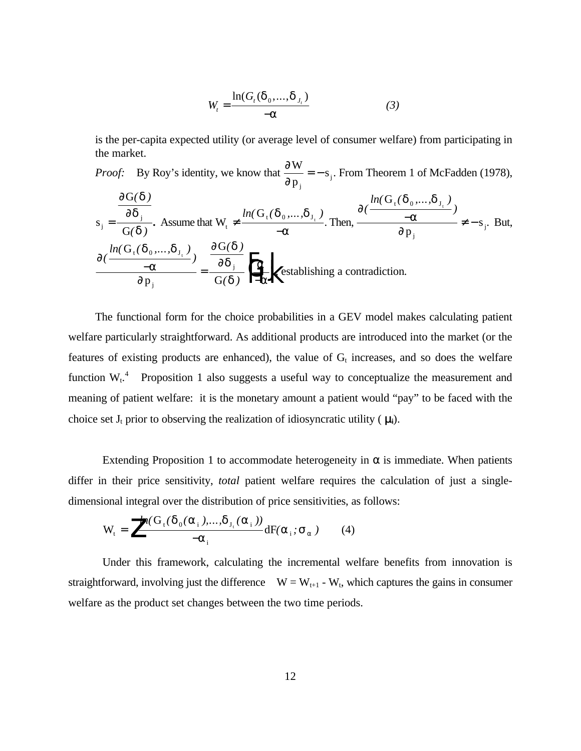$$
W_{t} = \frac{\ln(G_{t}(\boldsymbol{d}_{0},...,\boldsymbol{d}_{J_{t}}))}{-\boldsymbol{a}}
$$
 (3)

is the per-capita expected utility (or average level of consumer welfare) from participating in the market.

*Proof:* By Roy's identity, we know that  $\frac{\partial}{\partial x}$ ∂  $\frac{W}{m}$  =  $$ p s j <sub>j</sub>. From Theorem 1 of McFadden (1978), s G  $j - G$  $=\frac{6u_j}{\sigma}$ ∂ ∂ *( ) ( ) d d d* **.** Assume that W G  $t \neq \frac{m_1 \mathbf{U}_t (\mathbf{u}_0, ..., \mathbf{u}_{J_t})}{c}$ −  $ln(G_{1}(d_{0},...,d_{1})$ *a*  $\frac{0, \ldots, u_{J_t}}{0}$ . Then, ∂ − ∂ ≠ − *(*  $ln(G, (d_0,...,d_n))$ *)* G p s  $_{\rm t}$ l u $_{\rm 0}$ ,...,u $_{\rm J}$ j j  $\boldsymbol{d}_0, \ldots, \boldsymbol{d}_{I_t}$ *a*  $\mathbf{0}$ . But, ∂ − ∂ = ∂ ∂ − F H ի<br>| I K J *(*  $ln(G_{1}(d_{0},...,d_{1}))$ *) ( ) ( )* G p G G  $_{\rm t}$  ( u  $_{\rm 0}$  ,  $\ldots$  , u  $_{\rm J}$ j j  $\boldsymbol{d}_0, \ldots, \boldsymbol{d}_{J_q}$ *a d d d a a* 0 , establishing a contradiction*.*

The functional form for the choice probabilities in a GEV model makes calculating patient welfare particularly straightforward. As additional products are introduced into the market (or the features of existing products are enhanced), the value of  $G_t$  increases, and so does the welfare function  $W_t$ <sup>4</sup> Proposition 1 also suggests a useful way to conceptualize the measurement and meaning of patient welfare: it is the monetary amount a patient would "pay" to be faced with the choice set  $J_t$  prior to observing the realization of idiosyncratic utility ( $\mu_i$ ).

Extending Proposition 1 to accommodate heterogeneity in  $\alpha$  is immediate. When patients differ in their price sensitivity, *total* patient welfare requires the calculation of just a singledimensional integral over the distribution of price sensitivities, as follows:

$$
\mathbf{W}_{\mathrm{t}} = \int \frac{\ln(\mathbf{G}_{\mathrm{t}}(\boldsymbol{d}_{0}(\boldsymbol{a}_{\mathrm{i}}),...,\boldsymbol{d}_{\mathrm{J}_{\mathrm{t}}}(\boldsymbol{a}_{\mathrm{i}}))}{-\boldsymbol{a}_{\mathrm{i}}}\mathrm{d}\mathrm{F}(\boldsymbol{a}_{\mathrm{i}};\boldsymbol{S}_{\mathrm{a}}) \qquad (4)
$$

Under this framework, calculating the incremental welfare benefits from innovation is straightforward, involving just the difference  $W = W_{t+1} - W_t$ , which captures the gains in consumer welfare as the product set changes between the two time periods.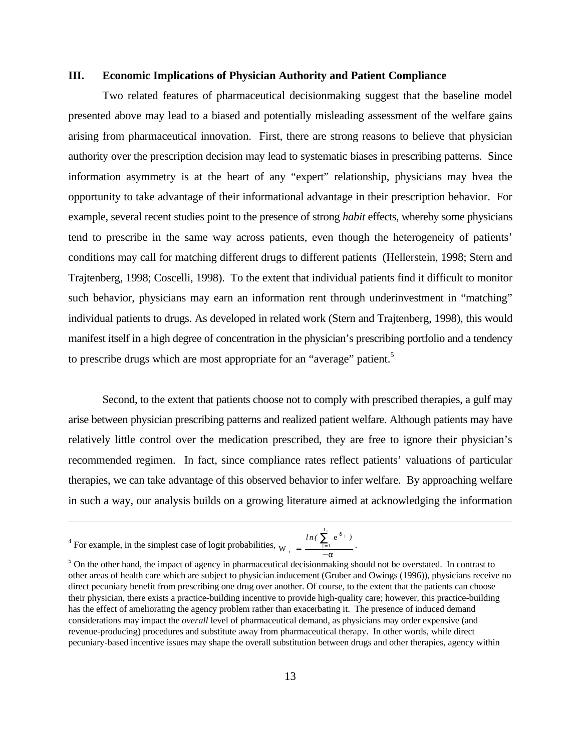#### **III. Economic Implications of Physician Authority and Patient Compliance**

Two related features of pharmaceutical decisionmaking suggest that the baseline model presented above may lead to a biased and potentially misleading assessment of the welfare gains arising from pharmaceutical innovation. First, there are strong reasons to believe that physician authority over the prescription decision may lead to systematic biases in prescribing patterns. Since information asymmetry is at the heart of any "expert" relationship, physicians may hvea the opportunity to take advantage of their informational advantage in their prescription behavior. For example, several recent studies point to the presence of strong *habit* effects, whereby some physicians tend to prescribe in the same way across patients, even though the heterogeneity of patients' conditions may call for matching different drugs to different patients (Hellerstein, 1998; Stern and Trajtenberg, 1998; Coscelli, 1998). To the extent that individual patients find it difficult to monitor such behavior, physicians may earn an information rent through underinvestment in "matching" individual patients to drugs. As developed in related work (Stern and Trajtenberg, 1998), this would manifest itself in a high degree of concentration in the physician's prescribing portfolio and a tendency to prescribe drugs which are most appropriate for an "average" patient.<sup>5</sup>

Second, to the extent that patients choose not to comply with prescribed therapies, a gulf may arise between physician prescribing patterns and realized patient welfare. Although patients may have relatively little control over the medication prescribed, they are free to ignore their physician's recommended regimen. In fact, since compliance rates reflect patients' valuations of particular therapies, we can take advantage of this observed behavior to infer welfare. By approaching welfare in such a way, our analysis builds on a growing literature aimed at acknowledging the information

 $\overline{a}$ 

<sup>&</sup>lt;sup>4</sup> For example, in the simplest case of logit probabilities,  $W_{1} = \frac{\ln(\sum_{j=1}^{n} e_j)}{\ln(\sum_{j=1}^{n} e_j)}$  $t = \frac{1}{\sqrt{2}}$  $\sum_{j=1}^{j} a_j$  $= \frac{\ln(\sum_{j=1}^{\infty} e^{d_j})}{-a}$ *a*  $\frac{1}{1}$ .

 $<sup>5</sup>$  On the other hand, the impact of agency in pharmaceutical decisionmaking should not be overstated. In contrast to</sup> other areas of health care which are subject to physician inducement (Gruber and Owings (1996)), physicians receive no direct pecuniary benefit from prescribing one drug over another. Of course, to the extent that the patients can choose their physician, there exists a practice-building incentive to provide high-quality care; however, this practice-building has the effect of ameliorating the agency problem rather than exacerbating it. The presence of induced demand considerations may impact the *overall* level of pharmaceutical demand, as physicians may order expensive (and revenue-producing) procedures and substitute away from pharmaceutical therapy. In other words, while direct pecuniary-based incentive issues may shape the overall substitution between drugs and other therapies, agency within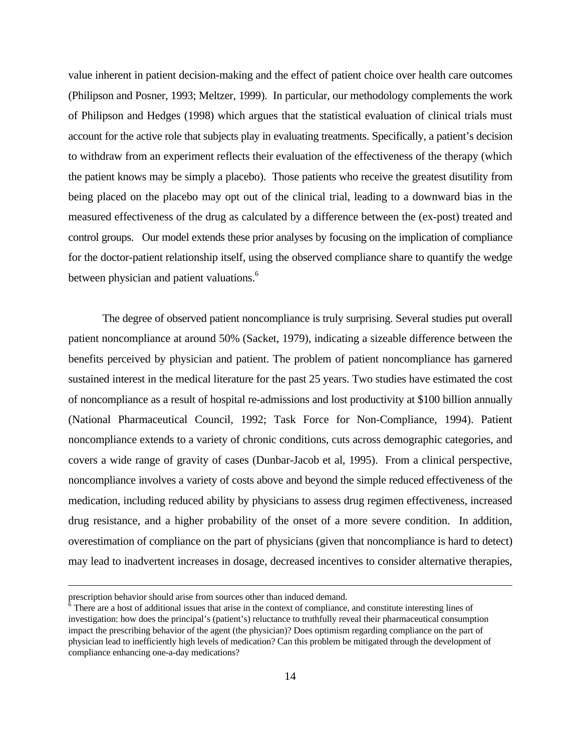value inherent in patient decision-making and the effect of patient choice over health care outcomes (Philipson and Posner, 1993; Meltzer, 1999). In particular, our methodology complements the work of Philipson and Hedges (1998) which argues that the statistical evaluation of clinical trials must account for the active role that subjects play in evaluating treatments. Specifically, a patient's decision to withdraw from an experiment reflects their evaluation of the effectiveness of the therapy (which the patient knows may be simply a placebo). Those patients who receive the greatest disutility from being placed on the placebo may opt out of the clinical trial, leading to a downward bias in the measured effectiveness of the drug as calculated by a difference between the (ex-post) treated and control groups. Our model extends these prior analyses by focusing on the implication of compliance for the doctor-patient relationship itself, using the observed compliance share to quantify the wedge between physician and patient valuations.<sup>6</sup>

The degree of observed patient noncompliance is truly surprising. Several studies put overall patient noncompliance at around 50% (Sacket, 1979), indicating a sizeable difference between the benefits perceived by physician and patient. The problem of patient noncompliance has garnered sustained interest in the medical literature for the past 25 years. Two studies have estimated the cost of noncompliance as a result of hospital re-admissions and lost productivity at \$100 billion annually (National Pharmaceutical Council, 1992; Task Force for Non-Compliance, 1994). Patient noncompliance extends to a variety of chronic conditions, cuts across demographic categories, and covers a wide range of gravity of cases (Dunbar-Jacob et al, 1995). From a clinical perspective, noncompliance involves a variety of costs above and beyond the simple reduced effectiveness of the medication, including reduced ability by physicians to assess drug regimen effectiveness, increased drug resistance, and a higher probability of the onset of a more severe condition. In addition, overestimation of compliance on the part of physicians (given that noncompliance is hard to detect) may lead to inadvertent increases in dosage, decreased incentives to consider alternative therapies,

<u>.</u>

prescription behavior should arise from sources other than induced demand.<br><sup>6</sup> There are a host of additional issues that arise in the context of compliance, and constitute interesting lines of investigation: how does the principal's (patient's) reluctance to truthfully reveal their pharmaceutical consumption impact the prescribing behavior of the agent (the physician)? Does optimism regarding compliance on the part of physician lead to inefficiently high levels of medication? Can this problem be mitigated through the development of compliance enhancing one-a-day medications?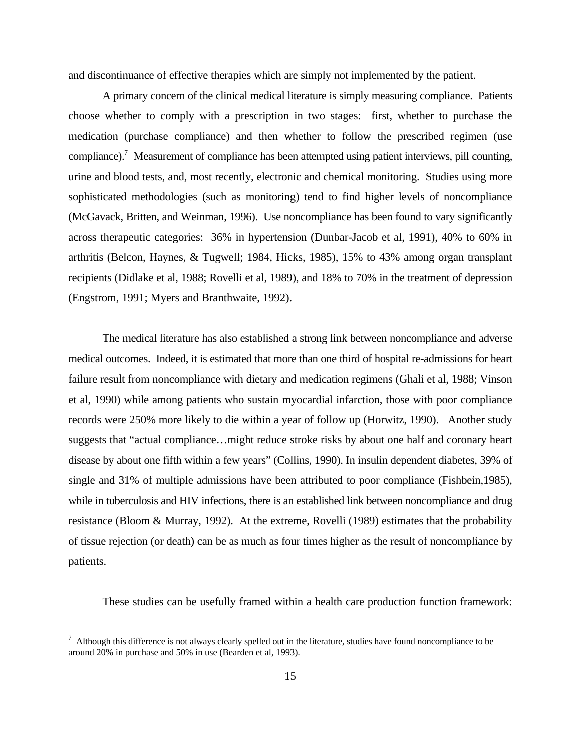and discontinuance of effective therapies which are simply not implemented by the patient.

A primary concern of the clinical medical literature is simply measuring compliance. Patients choose whether to comply with a prescription in two stages: first, whether to purchase the medication (purchase compliance) and then whether to follow the prescribed regimen (use compliance).<sup>7</sup> Measurement of compliance has been attempted using patient interviews, pill counting, urine and blood tests, and, most recently, electronic and chemical monitoring. Studies using more sophisticated methodologies (such as monitoring) tend to find higher levels of noncompliance (McGavack, Britten, and Weinman, 1996). Use noncompliance has been found to vary significantly across therapeutic categories: 36% in hypertension (Dunbar-Jacob et al, 1991), 40% to 60% in arthritis (Belcon, Haynes, & Tugwell; 1984, Hicks, 1985), 15% to 43% among organ transplant recipients (Didlake et al, 1988; Rovelli et al, 1989), and 18% to 70% in the treatment of depression (Engstrom, 1991; Myers and Branthwaite, 1992).

The medical literature has also established a strong link between noncompliance and adverse medical outcomes. Indeed, it is estimated that more than one third of hospital re-admissions for heart failure result from noncompliance with dietary and medication regimens (Ghali et al, 1988; Vinson et al, 1990) while among patients who sustain myocardial infarction, those with poor compliance records were 250% more likely to die within a year of follow up (Horwitz, 1990). Another study suggests that "actual compliance…might reduce stroke risks by about one half and coronary heart disease by about one fifth within a few years" (Collins, 1990). In insulin dependent diabetes, 39% of single and 31% of multiple admissions have been attributed to poor compliance (Fishbein,1985), while in tuberculosis and HIV infections, there is an established link between noncompliance and drug resistance (Bloom & Murray, 1992). At the extreme, Rovelli (1989) estimates that the probability of tissue rejection (or death) can be as much as four times higher as the result of noncompliance by patients.

These studies can be usefully framed within a health care production function framework:

 $\overline{a}$ 

 $<sup>7</sup>$  Although this difference is not always clearly spelled out in the literature, studies have found noncompliance to be</sup> around 20% in purchase and 50% in use (Bearden et al, 1993).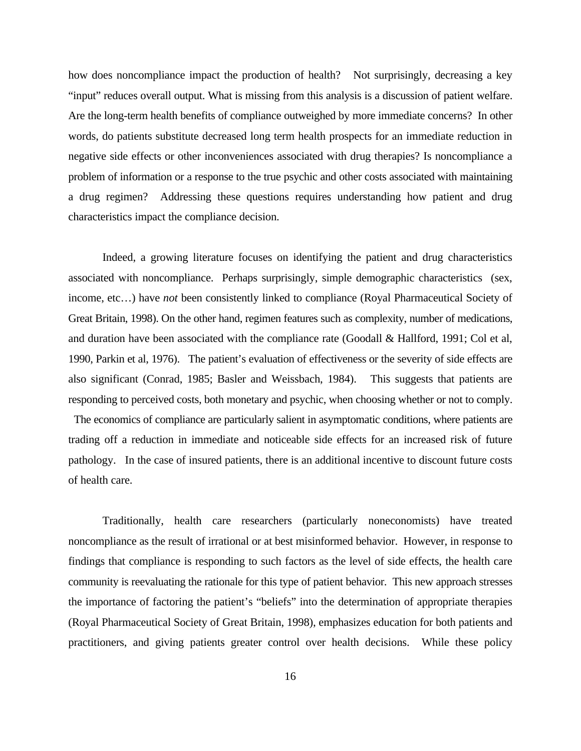how does noncompliance impact the production of health? Not surprisingly, decreasing a key "input" reduces overall output. What is missing from this analysis is a discussion of patient welfare. Are the long-term health benefits of compliance outweighed by more immediate concerns? In other words, do patients substitute decreased long term health prospects for an immediate reduction in negative side effects or other inconveniences associated with drug therapies? Is noncompliance a problem of information or a response to the true psychic and other costs associated with maintaining a drug regimen? Addressing these questions requires understanding how patient and drug characteristics impact the compliance decision.

Indeed, a growing literature focuses on identifying the patient and drug characteristics associated with noncompliance. Perhaps surprisingly, simple demographic characteristics (sex, income, etc…) have *not* been consistently linked to compliance (Royal Pharmaceutical Society of Great Britain, 1998). On the other hand, regimen features such as complexity, number of medications, and duration have been associated with the compliance rate (Goodall & Hallford, 1991; Col et al, 1990, Parkin et al, 1976). The patient's evaluation of effectiveness or the severity of side effects are also significant (Conrad, 1985; Basler and Weissbach, 1984). This suggests that patients are responding to perceived costs, both monetary and psychic, when choosing whether or not to comply. The economics of compliance are particularly salient in asymptomatic conditions, where patients are

trading off a reduction in immediate and noticeable side effects for an increased risk of future pathology. In the case of insured patients, there is an additional incentive to discount future costs of health care.

Traditionally, health care researchers (particularly noneconomists) have treated noncompliance as the result of irrational or at best misinformed behavior. However, in response to findings that compliance is responding to such factors as the level of side effects, the health care community is reevaluating the rationale for this type of patient behavior. This new approach stresses the importance of factoring the patient's "beliefs" into the determination of appropriate therapies (Royal Pharmaceutical Society of Great Britain, 1998), emphasizes education for both patients and practitioners, and giving patients greater control over health decisions. While these policy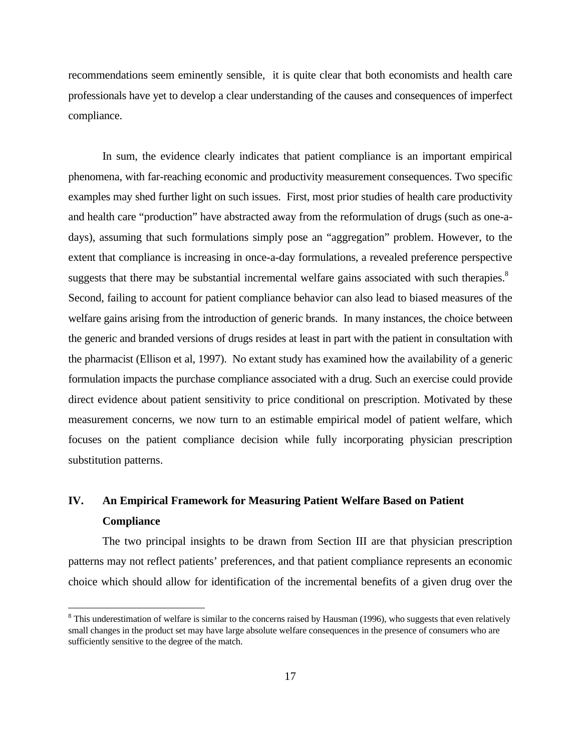recommendations seem eminently sensible, it is quite clear that both economists and health care professionals have yet to develop a clear understanding of the causes and consequences of imperfect compliance.

In sum, the evidence clearly indicates that patient compliance is an important empirical phenomena, with far-reaching economic and productivity measurement consequences. Two specific examples may shed further light on such issues. First, most prior studies of health care productivity and health care "production" have abstracted away from the reformulation of drugs (such as one-adays), assuming that such formulations simply pose an "aggregation" problem. However, to the extent that compliance is increasing in once-a-day formulations, a revealed preference perspective suggests that there may be substantial incremental welfare gains associated with such therapies.<sup>8</sup> Second, failing to account for patient compliance behavior can also lead to biased measures of the welfare gains arising from the introduction of generic brands. In many instances, the choice between the generic and branded versions of drugs resides at least in part with the patient in consultation with the pharmacist (Ellison et al, 1997). No extant study has examined how the availability of a generic formulation impacts the purchase compliance associated with a drug. Such an exercise could provide direct evidence about patient sensitivity to price conditional on prescription. Motivated by these measurement concerns, we now turn to an estimable empirical model of patient welfare, which focuses on the patient compliance decision while fully incorporating physician prescription substitution patterns.

# **IV. An Empirical Framework for Measuring Patient Welfare Based on Patient Compliance**

-

The two principal insights to be drawn from Section III are that physician prescription patterns may not reflect patients' preferences, and that patient compliance represents an economic choice which should allow for identification of the incremental benefits of a given drug over the

 $8$  This underestimation of welfare is similar to the concerns raised by Hausman (1996), who suggests that even relatively small changes in the product set may have large absolute welfare consequences in the presence of consumers who are sufficiently sensitive to the degree of the match.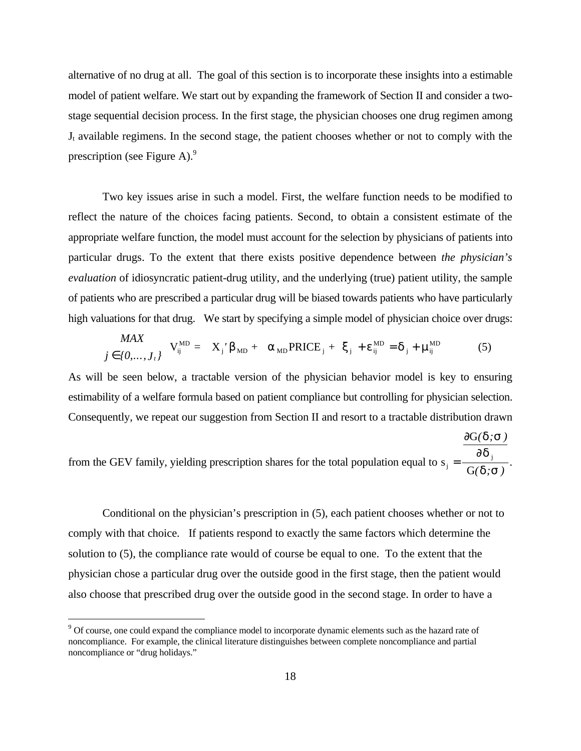alternative of no drug at all. The goal of this section is to incorporate these insights into a estimable model of patient welfare. We start out by expanding the framework of Section II and consider a twostage sequential decision process. In the first stage, the physician chooses one drug regimen among  $J_t$  available regimens. In the second stage, the patient chooses whether or not to comply with the prescription (see Figure A). $\degree$ 

Two key issues arise in such a model. First, the welfare function needs to be modified to reflect the nature of the choices facing patients. Second, to obtain a consistent estimate of the appropriate welfare function, the model must account for the selection by physicians of patients into particular drugs. To the extent that there exists positive dependence between *the physician's evaluation* of idiosyncratic patient-drug utility, and the underlying (true) patient utility, the sample of patients who are prescribed a particular drug will be biased towards patients who have particularly high valuations for that drug. We start by specifying a simple model of physician choice over drugs:

$$
\frac{MAX}{j \in \{0, ..., J_t\}} \quad \mathbf{V}_{ij}^{\text{MD}} = \quad \mathbf{X}_j' \mathbf{b}_{\text{MD}} + \quad \mathbf{a}_{\text{MD}} \text{PRICE}_j + \mathbf{x}_j + \mathbf{e}_{ij}^{\text{MD}} = \mathbf{d}_j + \mathbf{m}_{ij}^{\text{MD}} \tag{5}
$$

*MAX*

 $\overline{a}$ 

As will be seen below, a tractable version of the physician behavior model is key to ensuring estimability of a welfare formula based on patient compliance but controlling for physician selection. Consequently, we repeat our suggestion from Section II and resort to a tractable distribution drawn

from the GEV family, yielding prescription shares for the total population equal to 
$$
s_j = \frac{\partial G(d; \mathbf{s})}{\partial d_j}
$$
.

Conditional on the physician's prescription in (5), each patient chooses whether or not to comply with that choice. If patients respond to exactly the same factors which determine the solution to (5), the compliance rate would of course be equal to one. To the extent that the physician chose a particular drug over the outside good in the first stage, then the patient would also choose that prescribed drug over the outside good in the second stage. In order to have a

<sup>&</sup>lt;sup>9</sup> Of course, one could expand the compliance model to incorporate dynamic elements such as the hazard rate of noncompliance. For example, the clinical literature distinguishes between complete noncompliance and partial noncompliance or "drug holidays."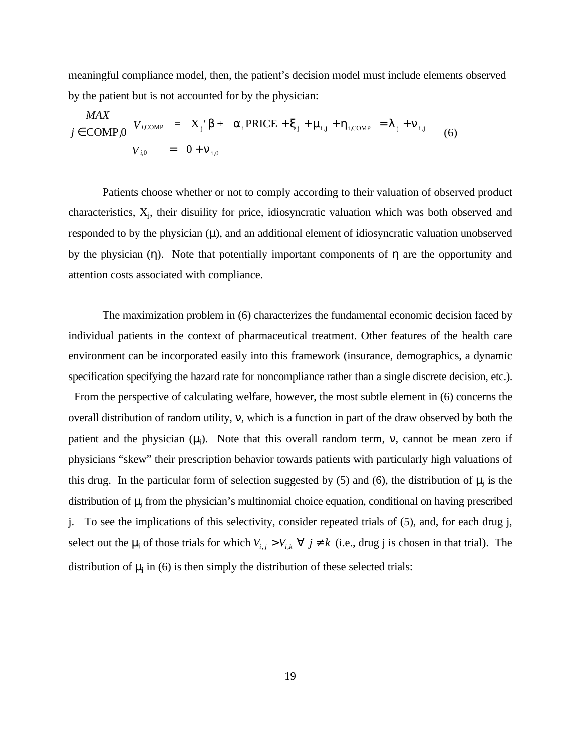meaningful compliance model, then, the patient's decision model must include elements observed by the patient but is not accounted for by the physician:

$$
MAX
$$
  
 $j \in \text{COMP}, 0$   $V_{i, \text{COMP}} = X_j' b + a_i \text{PRICE} + x_j + m_{i,j} + h_{i, \text{COMP}} = I_j + n_{i,j}$   
 $V_{i,0} = 0 + n_{i,0}$  (6)

Patients choose whether or not to comply according to their valuation of observed product characteristics, Xj, their disuility for price, idiosyncratic valuation which was both observed and responded to by the physician (μ), and an additional element of idiosyncratic valuation unobserved by the physician  $(\eta)$ . Note that potentially important components of  $\eta$  are the opportunity and attention costs associated with compliance.

The maximization problem in (6) characterizes the fundamental economic decision faced by individual patients in the context of pharmaceutical treatment. Other features of the health care environment can be incorporated easily into this framework (insurance, demographics, a dynamic specification specifying the hazard rate for noncompliance rather than a single discrete decision, etc.).

 From the perspective of calculating welfare, however, the most subtle element in (6) concerns the overall distribution of random utility, ν, which is a function in part of the draw observed by both the patient and the physician  $(\mu_i)$ . Note that this overall random term, v, cannot be mean zero if physicians "skew" their prescription behavior towards patients with particularly high valuations of this drug. In the particular form of selection suggested by (5) and (6), the distribution of  $\mu_i$  is the distribution of  $\mu_i$  from the physician's multinomial choice equation, conditional on having prescribed j. To see the implications of this selectivity, consider repeated trials of (5), and, for each drug j, select out the  $\mu_j$  of those trials for which  $V_{i,j} > V_{i,k} \ \forall j \neq k$  (i.e., drug j is chosen in that trial). The distribution of  $\mu_i$  in (6) is then simply the distribution of these selected trials: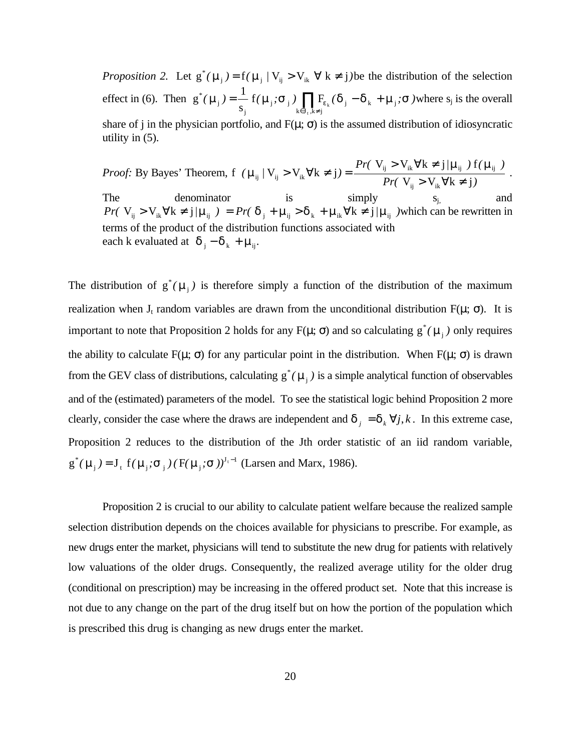*Proposition 2.* Let  $g^*(\mathbf{m}_j) = f(\mathbf{m}_j / V_{ij} > V_{ik} \ \forall k \neq j$  $^*(\mathbf{m}_i) = f(\mathbf{m}_i / V_{ii} > V_{ik} \ \forall \ k \neq j)$  be the distribution of the selection effect in (6). Then g  $\mathbf{S}_{\mathbf{j}}$ ) =  $\frac{1}{\mathbf{S}_{\mathbf{i}}}$  f( $\mathbf{m}_{\mathbf{j}}$ ; $\mathbf{S}_{\mathbf{j}}$ )  $\prod_{\mathbf{k} \in \mathbf{J}_{\mathbf{k}}}\prod_{\mathbf{k} \neq \mathbf{i}}$ j  $j$ ,  $\mathbf{J}$  j  $\mathbf{J}$   $\mathbf{I}$   $\mathbf{I}$   $\mathbf{e}_{k}$   $\mathbf{u}_{j}$  $\prod_{k \in J_i, k \neq j} \left[ \begin{array}{ccc} a_k & a_{k+1} \\ a_k & a_{k+1} \end{array} \right]$ t *\* ,*  $({\bf m}_{i}) = \frac{1}{\tau} {\bf f}({\bf m}_{i}; {\bf s}_{i}) \prod {\bf F}_{e_{k}}({\bf d}_{i} - {\bf d}_{k} + {\bf m}_{i}; {\bf s})$  $\frac{1}{s_i}$  f( $m_j$ ;  $s_j$ )  $\prod_{k \in J_i, k \neq j} F_{e_k}$  ( $d_j - d_k + m_j$ ;  $s$ ) where  $s_j$  is the overall share of j in the physician portfolio, and  $F(\mu; \sigma)$  is the assumed distribution of idiosyncratic utility in (5).

*Proof:* By Bayes' Theorem, f  $(\mathbf{m}_{ii} / V_{ii} > V_{ik} \forall k \neq j)$  $V_{ii} > V_{ik} \forall k \neq j/m_{ii}$ ) f  $P_{i,j}$   $\forall$   $V_{i,j}$   $\forall$   $V_{i,k}$   $\forall$   $V_{i,j}$   $\forall$   $V_{i,j}$   $\forall$   $V_{i,k}$   $\forall$   $k \neq j$  $\mathbf{i}_j$  /  $\mathbf{v}_{ik}$  v  $\mathbf{r}$  +  $\mathbf{y}_{i}$   $\mathbf{m}_{ij}$   $\mathbf{m}_{ij}$  $i$ j  $\sim$   $\mathbf{v}_{ik}$  $(\mathbf{m}_{ii} / V_{ii} > V_{ik} \forall k \neq j)$  $Pr(\mathbf{V}_{ii} > \mathbf{V}_{ik} \forall k \neq j/\mathbf{m}_{ii}) \mathbf{f}(\mathbf{m}_{ii})$  $Pr(V_{ii} > V_{ik} \forall k \neq j)$ *m*  $m_{ii}$  *f*( $n$  $> V_{ik} \forall k \neq j$  $> V_{ik} \forall k \neq$  $> V_{ik} \forall k \neq$ . The denominator is simply  $s_{j}$ , and  $Pr(\mathbf{V}_{ij} > \mathbf{V}_{ik} \forall k \neq j/\mathbf{m}_{ij}) = Pr(\mathbf{d}_j + \mathbf{m}_{ij} > \mathbf{d}_k + \mathbf{m}_{ik} \forall k \neq j/\mathbf{m}_{ij})$  which can be rewritten in terms of the product of the distribution functions associated with each k evaluated at  $\boldsymbol{d}_i - \boldsymbol{d}_k + \boldsymbol{m}_{ii}$ .

The distribution of  $g^*(m)$  is therefore simply a function of the distribution of the maximum realization when J<sub>t</sub> random variables are drawn from the unconditional distribution F(μ; σ). It is important to note that Proposition 2 holds for any  $F(\mu; \sigma)$  and so calculating  $g^*(m_j)$  only requires the ability to calculate  $F(\mu; \sigma)$  for any particular point in the distribution. When  $F(\mu; \sigma)$  is drawn from the GEV class of distributions, calculating  $g^*(m)$  is a simple analytical function of observables and of the (estimated) parameters of the model. To see the statistical logic behind Proposition 2 more clearly, consider the case where the draws are independent and  $\mathbf{d}_j = \mathbf{d}_k \forall j, k$ . In this extreme case, Proposition 2 reduces to the distribution of the Jth order statistic of an iid random variable,  $g^*(\mathbf{m}_j) = J_f(f(\mathbf{m}_j; \mathbf{s}_j)) (F(\mathbf{m}_j; \mathbf{s}_j))^{J_f-1}$  (Larsen and Marx, 1986).

Proposition 2 is crucial to our ability to calculate patient welfare because the realized sample selection distribution depends on the choices available for physicians to prescribe. For example, as new drugs enter the market, physicians will tend to substitute the new drug for patients with relatively low valuations of the older drugs. Consequently, the realized average utility for the older drug (conditional on prescription) may be increasing in the offered product set. Note that this increase is not due to any change on the part of the drug itself but on how the portion of the population which is prescribed this drug is changing as new drugs enter the market.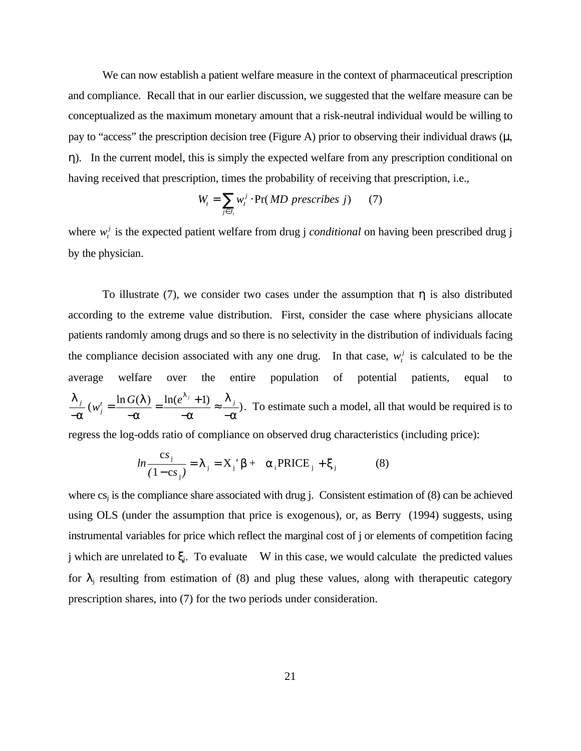We can now establish a patient welfare measure in the context of pharmaceutical prescription and compliance. Recall that in our earlier discussion, we suggested that the welfare measure can be conceptualized as the maximum monetary amount that a risk-neutral individual would be willing to pay to "access" the prescription decision tree (Figure A) prior to observing their individual draws (μ, η). In the current model, this is simply the expected welfare from any prescription conditional on having received that prescription, times the probability of receiving that prescription, i.e.,

$$
W_t = \sum_{j \in J_t} w_t^j \cdot \Pr(MD \text{ prescribes } j) \tag{7}
$$

where  $w_t^j$  is the expected patient welfare from drug j *conditional* on having been prescribed drug j by the physician.

To illustrate (7), we consider two cases under the assumption that  $\eta$  is also distributed according to the extreme value distribution. First, consider the case where physicians allocate patients randomly among drugs and so there is no selectivity in the distribution of individuals facing the compliance decision associated with any one drug. In that case,  $w_t^j$  is calculated to be the average welfare over the entire population of potential patients, equal to *l a l a a l a l j*  $w_j^t = \frac{\ln G(I)}{I} = \frac{\ln(e^{I_j} + 1)}{I} \approx \frac{I_j}{I}$ − = −  $=\frac{\ln(e^{L_j}+e^{L_j})}{2}$ − ≈ −  $(w_i^t = \frac{\ln G(I)}{I}) = \frac{\ln(e^{I_i} + 1)}{I_i} \approx \frac{I_i}{I_i}$ . To estimate such a model, all that would be required is to regress the log-odds ratio of compliance on observed drug characteristics (including price):

$$
ln \frac{cs_j}{(1 - cs_j)} = I_j = X_j' b + a_i PRICE_j + x_j
$$
 (8)

where  $cs_i$  is the compliance share associated with drug j. Consistent estimation of (8) can be achieved using OLS (under the assumption that price is exogenous), or, as Berry (1994) suggests, using instrumental variables for price which reflect the marginal cost of j or elements of competition facing j which are unrelated to  $\xi$ <sup>j</sup>. To evaluate W in this case, we would calculate the predicted values for  $\lambda_i$  resulting from estimation of (8) and plug these values, along with therapeutic category prescription shares, into (7) for the two periods under consideration.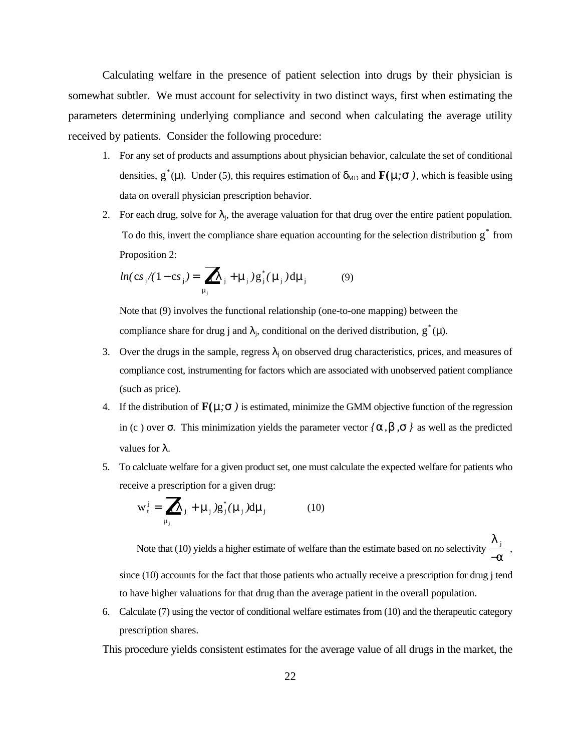Calculating welfare in the presence of patient selection into drugs by their physician is somewhat subtler. We must account for selectivity in two distinct ways, first when estimating the parameters determining underlying compliance and second when calculating the average utility received by patients. Consider the following procedure:

- 1. For any set of products and assumptions about physician behavior, calculate the set of conditional densities,  $g^*(\mu)$ . Under (5), this requires estimation of  $\delta_{MD}$  and  $\mathbf{F}(m; \mathbf{s})$ , which is feasible using data on overall physician prescription behavior.
- 2. For each drug, solve for  $\lambda_j$ , the average valuation for that drug over the entire patient population. To do this, invert the compliance share equation accounting for the selection distribution g *\** from Proposition 2:

$$
ln(\text{cs}_j/(1-\text{cs}_j)) = \int_{\mathbf{m}_j} (\mathbf{I}_j + \mathbf{m}_j) g_j^*(\mathbf{m}_j) d\mathbf{m}_j
$$
(9)

Note that (9) involves the functional relationship (one-to-one mapping) between the compliance share for drug j and  $\lambda_j$ , conditional on the derived distribution,  $g^*(\mu)$ .

- 3. Over the drugs in the sample, regress  $\lambda_j$  on observed drug characteristics, prices, and measures of compliance cost, instrumenting for factors which are associated with unobserved patient compliance (such as price).
- 4. If the distribution of  $\mathbf{F}(\mathbf{m}; \mathbf{s})$  is estimated, minimize the GMM objective function of the regression in (c) over  $\sigma$ . This minimization yields the parameter vector  $\{a, b, s\}$  as well as the predicted values for λ.
- 5. To calcluate welfare for a given product set, one must calculate the expected welfare for patients who receive a prescription for a given drug:

$$
w_{t}^{j} = \int_{m_{j}} (\boldsymbol{I}_{j} + \boldsymbol{m}_{j}) g_{j}^{*}(\boldsymbol{m}_{j}) d\boldsymbol{m}_{j}
$$
(10)

Note that (10) yields a higher estimate of welfare than the estimate based on no selectivity *l a* j  $\frac{1}{-a}$ ,

since (10) accounts for the fact that those patients who actually receive a prescription for drug j tend to have higher valuations for that drug than the average patient in the overall population.

6. Calculate (7) using the vector of conditional welfare estimates from (10) and the therapeutic category prescription shares.

This procedure yields consistent estimates for the average value of all drugs in the market, the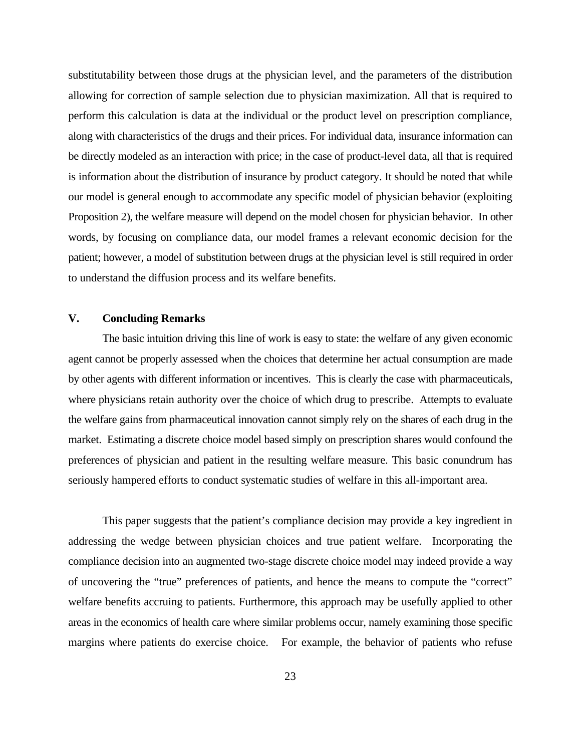substitutability between those drugs at the physician level, and the parameters of the distribution allowing for correction of sample selection due to physician maximization. All that is required to perform this calculation is data at the individual or the product level on prescription compliance, along with characteristics of the drugs and their prices. For individual data, insurance information can be directly modeled as an interaction with price; in the case of product-level data, all that is required is information about the distribution of insurance by product category. It should be noted that while our model is general enough to accommodate any specific model of physician behavior (exploiting Proposition 2), the welfare measure will depend on the model chosen for physician behavior. In other words, by focusing on compliance data, our model frames a relevant economic decision for the patient; however, a model of substitution between drugs at the physician level is still required in order to understand the diffusion process and its welfare benefits.

## **V. Concluding Remarks**

The basic intuition driving this line of work is easy to state: the welfare of any given economic agent cannot be properly assessed when the choices that determine her actual consumption are made by other agents with different information or incentives. This is clearly the case with pharmaceuticals, where physicians retain authority over the choice of which drug to prescribe. Attempts to evaluate the welfare gains from pharmaceutical innovation cannot simply rely on the shares of each drug in the market. Estimating a discrete choice model based simply on prescription shares would confound the preferences of physician and patient in the resulting welfare measure. This basic conundrum has seriously hampered efforts to conduct systematic studies of welfare in this all-important area.

This paper suggests that the patient's compliance decision may provide a key ingredient in addressing the wedge between physician choices and true patient welfare. Incorporating the compliance decision into an augmented two-stage discrete choice model may indeed provide a way of uncovering the "true" preferences of patients, and hence the means to compute the "correct" welfare benefits accruing to patients. Furthermore, this approach may be usefully applied to other areas in the economics of health care where similar problems occur, namely examining those specific margins where patients do exercise choice. For example, the behavior of patients who refuse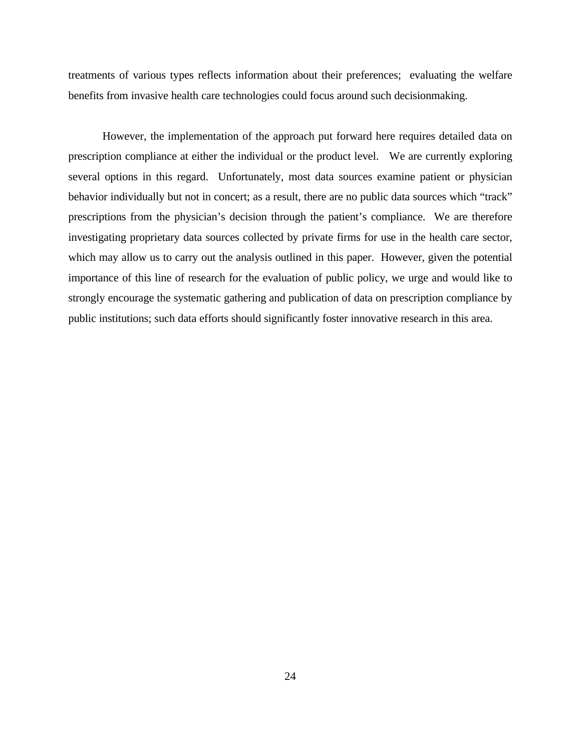treatments of various types reflects information about their preferences; evaluating the welfare benefits from invasive health care technologies could focus around such decisionmaking.

However, the implementation of the approach put forward here requires detailed data on prescription compliance at either the individual or the product level. We are currently exploring several options in this regard. Unfortunately, most data sources examine patient or physician behavior individually but not in concert; as a result, there are no public data sources which "track" prescriptions from the physician's decision through the patient's compliance. We are therefore investigating proprietary data sources collected by private firms for use in the health care sector, which may allow us to carry out the analysis outlined in this paper. However, given the potential importance of this line of research for the evaluation of public policy, we urge and would like to strongly encourage the systematic gathering and publication of data on prescription compliance by public institutions; such data efforts should significantly foster innovative research in this area.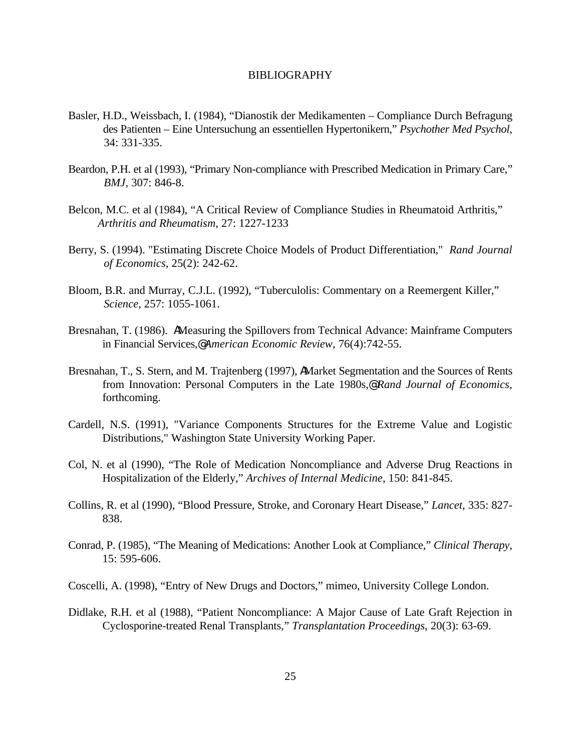#### BIBLIOGRAPHY

- Basler, H.D., Weissbach, I. (1984), "Dianostik der Medikamenten Compliance Durch Befragung des Patienten – Eine Untersuchung an essentiellen Hypertonikern," *Psychother Med Psychol*, 34: 331-335.
- Beardon, P.H. et al (1993), "Primary Non-compliance with Prescribed Medication in Primary Care," *BMJ,* 307: 846-8.
- Belcon, M.C. et al (1984), "A Critical Review of Compliance Studies in Rheumatoid Arthritis," *Arthritis and Rheumatism*, 27: 1227-1233
- Berry, S. (1994). "Estimating Discrete Choice Models of Product Differentiation," *Rand Journal of Economics*, 25(2): 242-62.
- Bloom, B.R. and Murray, C.J.L. (1992), "Tuberculolis: Commentary on a Reemergent Killer," *Science*, 257: 1055-1061.
- Bresnahan, T. (1986). AMeasuring the Spillovers from Technical Advance: Mainframe Computers in Financial Services,@ *American Economic Review*, 76(4):742-55.
- Bresnahan, T., S. Stern, and M. Trajtenberg (1997), AMarket Segmentation and the Sources of Rents from Innovation: Personal Computers in the Late 1980s,@ *Rand Journal of Economics,* forthcoming.
- Cardell, N.S. (1991), "Variance Components Structures for the Extreme Value and Logistic Distributions," Washington State University Working Paper.
- Col, N. et al (1990), "The Role of Medication Noncompliance and Adverse Drug Reactions in Hospitalization of the Elderly," *Archives of Internal Medicine*, 150: 841-845.
- Collins, R. et al (1990), "Blood Pressure, Stroke, and Coronary Heart Disease," *Lancet*, 335: 827- 838.
- Conrad, P. (1985), "The Meaning of Medications: Another Look at Compliance," *Clinical Therapy*, 15: 595-606.
- Coscelli, A. (1998), "Entry of New Drugs and Doctors," mimeo, University College London.
- Didlake, R.H. et al (1988), "Patient Noncompliance: A Major Cause of Late Graft Rejection in Cyclosporine-treated Renal Transplants*,*" *Transplantation Proceedings*, 20(3): 63-69.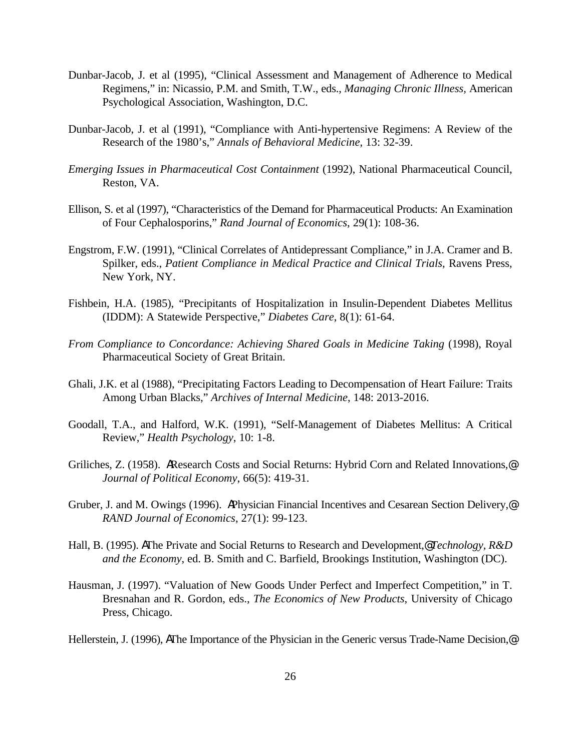- Dunbar-Jacob, J. et al (1995), "Clinical Assessment and Management of Adherence to Medical Regimens," in: Nicassio, P.M. and Smith, T.W., eds., *Managing Chronic Illness,* American Psychological Association, Washington, D.C.
- Dunbar-Jacob, J. et al (1991), "Compliance with Anti-hypertensive Regimens: A Review of the Research of the 1980's," *Annals of Behavioral Medicine*, 13: 32-39.
- *Emerging Issues in Pharmaceutical Cost Containment* (1992), National Pharmaceutical Council, Reston, VA.
- Ellison, S. et al (1997), "Characteristics of the Demand for Pharmaceutical Products: An Examination of Four Cephalosporins," *Rand Journal of Economics*, 29(1): 108-36.
- Engstrom, F.W. (1991), "Clinical Correlates of Antidepressant Compliance," in J.A. Cramer and B. Spilker, eds., *Patient Compliance in Medical Practice and Clinical Trials*, Ravens Press, New York, NY.
- Fishbein, H.A. (1985), "Precipitants of Hospitalization in Insulin-Dependent Diabetes Mellitus (IDDM): A Statewide Perspective," *Diabetes Care*, 8(1): 61-64.
- *From Compliance to Concordance: Achieving Shared Goals in Medicine Taking* (1998), Royal Pharmaceutical Society of Great Britain.
- Ghali, J.K. et al (1988), "Precipitating Factors Leading to Decompensation of Heart Failure: Traits Among Urban Blacks," *Archives of Internal Medicine*, 148: 2013-2016.
- Goodall, T.A., and Halford, W.K. (1991), "Self-Management of Diabetes Mellitus: A Critical Review," *Health Psychology*, 10: 1-8.
- Griliches, Z. (1958). AResearch Costs and Social Returns: Hybrid Corn and Related Innovations,<sup>@</sup> *Journal of Political Economy*, 66(5): 419-31.
- Gruber, J. and M. Owings (1996). APhysician Financial Incentives and Cesarean Section Delivery,@ *RAND Journal of Economics*, 27(1): 99-123.
- Hall, B. (1995). AThe Private and Social Returns to Research and Development,@ *Technology, R&D and the Economy*, ed. B. Smith and C. Barfield, Brookings Institution, Washington (DC).
- Hausman, J. (1997). "Valuation of New Goods Under Perfect and Imperfect Competition," in T. Bresnahan and R. Gordon, eds., *The Economics of New Products*, University of Chicago Press, Chicago.

Hellerstein, J. (1996), AThe Importance of the Physician in the Generic versus Trade-Name Decision, @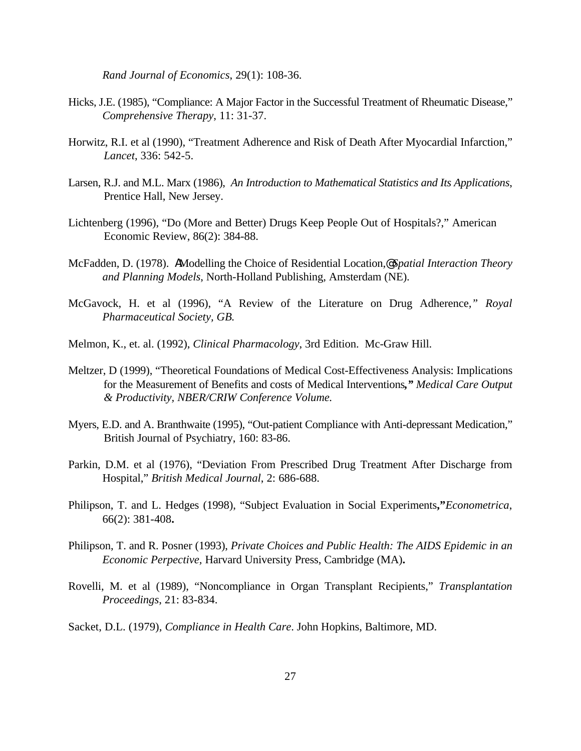*Rand Journal of Economics*, 29(1): 108-36.

- Hicks, J.E. (1985), "Compliance: A Major Factor in the Successful Treatment of Rheumatic Disease," *Comprehensive Therapy*, 11: 31-37.
- Horwitz, R.I. et al (1990), "Treatment Adherence and Risk of Death After Myocardial Infarction,"  *Lancet*, 336: 542-5.
- Larsen, R.J. and M.L. Marx (1986), *An Introduction to Mathematical Statistics and Its Applications*, Prentice Hall, New Jersey.
- Lichtenberg (1996), "Do (More and Better) Drugs Keep People Out of Hospitals?," American Economic Review, 86(2): 384-88.
- McFadden, D. (1978). AModelling the Choice of Residential Location,@ *Spatial Interaction Theory and Planning Models*, North-Holland Publishing, Amsterdam (NE).
- McGavock, H. et al (1996), "A Review of the Literature on Drug Adherence*," Royal Pharmaceutical Society, GB.*
- Melmon, K., et. al. (1992), *Clinical Pharmacology*, 3rd Edition. Mc-Graw Hill.
- Meltzer, D (1999), "Theoretical Foundations of Medical Cost-Effectiveness Analysis: Implications for the Measurement of Benefits and costs of Medical Interventions*," Medical Care Output & Productivity, NBER/CRIW Conference Volume.*
- Myers, E.D. and A. Branthwaite (1995), "Out-patient Compliance with Anti-depressant Medication," British Journal of Psychiatry, 160: 83-86.
- Parkin, D.M. et al (1976), "Deviation From Prescribed Drug Treatment After Discharge from Hospital," *British Medical Journal*, 2: 686-688.
- Philipson, T. and L. Hedges (1998), "Subject Evaluation in Social Experiments**,"***Econometrica*, 66(2): 381-408**.**
- Philipson, T. and R. Posner (1993), *Private Choices and Public Health: The AIDS Epidemic in an Economic Perpective,* Harvard University Press, Cambridge (MA)**.**
- Rovelli, M. et al (1989), "Noncompliance in Organ Transplant Recipients," *Transplantation Proceedings*, 21: 83-834.

Sacket, D.L. (1979), *Compliance in Health Care*. John Hopkins, Baltimore, MD.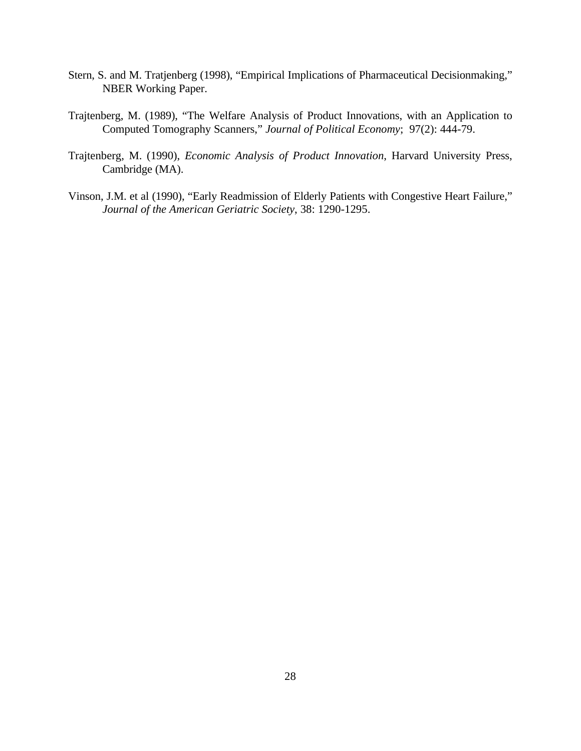- Stern, S. and M. Tratjenberg (1998), "Empirical Implications of Pharmaceutical Decisionmaking," NBER Working Paper.
- Trajtenberg, M. (1989), "The Welfare Analysis of Product Innovations, with an Application to Computed Tomography Scanners," *Journal of Political Economy*; 97(2): 444-79.
- Trajtenberg, M. (1990), *Economic Analysis of Product Innovation*, Harvard University Press, Cambridge (MA).
- Vinson, J.M. et al (1990), "Early Readmission of Elderly Patients with Congestive Heart Failure," *Journal of the American Geriatric Society*, 38: 1290-1295.